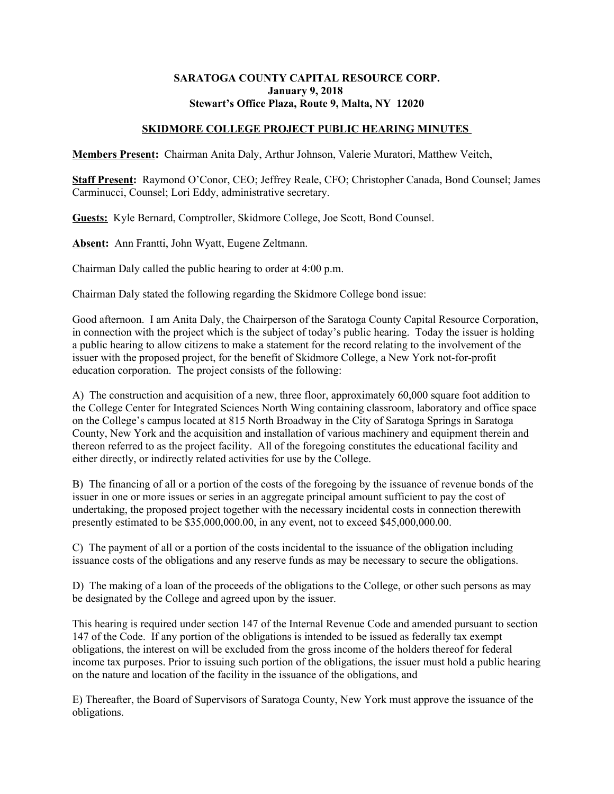## **SARATOGA COUNTY CAPITAL RESOURCE CORP. January 9, 2018 Stewart's Office Plaza, Route 9, Malta, NY 12020**

## **SKIDMORE COLLEGE PROJECT PUBLIC HEARING MINUTES**

**Members Present:** Chairman Anita Daly, Arthur Johnson, Valerie Muratori, Matthew Veitch,

**Staff Present:** Raymond O'Conor, CEO; Jeffrey Reale, CFO; Christopher Canada, Bond Counsel; James Carminucci, Counsel; Lori Eddy, administrative secretary.

**Guests:** Kyle Bernard, Comptroller, Skidmore College, Joe Scott, Bond Counsel.

**Absent:** Ann Frantti, John Wyatt, Eugene Zeltmann.

Chairman Daly called the public hearing to order at 4:00 p.m.

Chairman Daly stated the following regarding the Skidmore College bond issue:

Good afternoon. I am Anita Daly, the Chairperson of the Saratoga County Capital Resource Corporation, in connection with the project which is the subject of today's public hearing. Today the issuer is holding a public hearing to allow citizens to make a statement for the record relating to the involvement of the issuer with the proposed project, for the benefit of Skidmore College, a New York not-for-profit education corporation. The project consists of the following:

A) The construction and acquisition of a new, three floor, approximately 60,000 square foot addition to the College Center for Integrated Sciences North Wing containing classroom, laboratory and office space on the College's campus located at 815 North Broadway in the City of Saratoga Springs in Saratoga County, New York and the acquisition and installation of various machinery and equipment therein and thereon referred to as the project facility. All of the foregoing constitutes the educational facility and either directly, or indirectly related activities for use by the College.

B) The financing of all or a portion of the costs of the foregoing by the issuance of revenue bonds of the issuer in one or more issues or series in an aggregate principal amount sufficient to pay the cost of undertaking, the proposed project together with the necessary incidental costs in connection therewith presently estimated to be \$35,000,000.00, in any event, not to exceed \$45,000,000.00.

C) The payment of all or a portion of the costs incidental to the issuance of the obligation including issuance costs of the obligations and any reserve funds as may be necessary to secure the obligations.

D) The making of a loan of the proceeds of the obligations to the College, or other such persons as may be designated by the College and agreed upon by the issuer.

This hearing is required under section 147 of the Internal Revenue Code and amended pursuant to section 147 of the Code. If any portion of the obligations is intended to be issued as federally tax exempt obligations, the interest on will be excluded from the gross income of the holders thereof for federal income tax purposes. Prior to issuing such portion of the obligations, the issuer must hold a public hearing on the nature and location of the facility in the issuance of the obligations, and

E) Thereafter, the Board of Supervisors of Saratoga County, New York must approve the issuance of the obligations.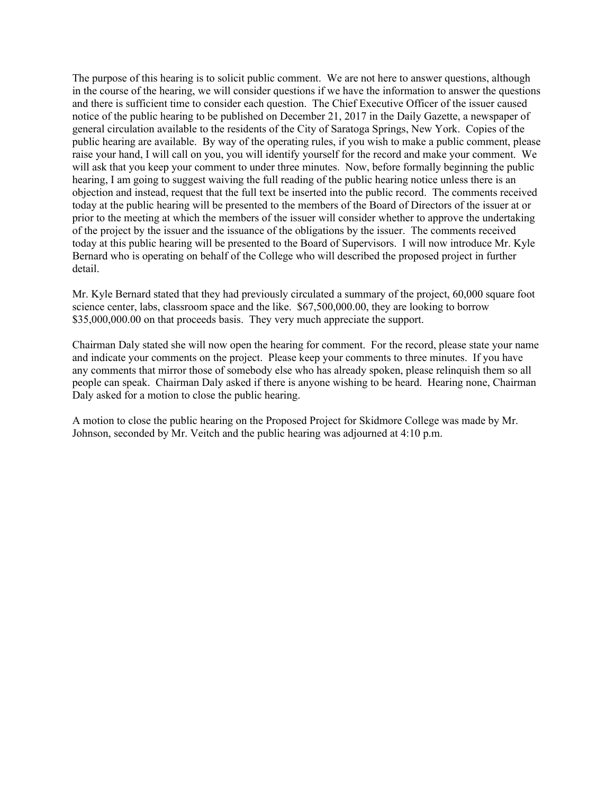The purpose of this hearing is to solicit public comment. We are not here to answer questions, although in the course of the hearing, we will consider questions if we have the information to answer the questions and there is sufficient time to consider each question. The Chief Executive Officer of the issuer caused notice of the public hearing to be published on December 21, 2017 in the Daily Gazette, a newspaper of general circulation available to the residents of the City of Saratoga Springs, New York. Copies of the public hearing are available. By way of the operating rules, if you wish to make a public comment, please raise your hand, I will call on you, you will identify yourself for the record and make your comment. We will ask that you keep your comment to under three minutes. Now, before formally beginning the public hearing, I am going to suggest waiving the full reading of the public hearing notice unless there is an objection and instead, request that the full text be inserted into the public record. The comments received today at the public hearing will be presented to the members of the Board of Directors of the issuer at or prior to the meeting at which the members of the issuer will consider whether to approve the undertaking of the project by the issuer and the issuance of the obligations by the issuer. The comments received today at this public hearing will be presented to the Board of Supervisors. I will now introduce Mr. Kyle Bernard who is operating on behalf of the College who will described the proposed project in further detail.

Mr. Kyle Bernard stated that they had previously circulated a summary of the project, 60,000 square foot science center, labs, classroom space and the like. \$67,500,000.00, they are looking to borrow \$35,000,000.00 on that proceeds basis. They very much appreciate the support.

Chairman Daly stated she will now open the hearing for comment. For the record, please state your name and indicate your comments on the project. Please keep your comments to three minutes. If you have any comments that mirror those of somebody else who has already spoken, please relinquish them so all people can speak. Chairman Daly asked if there is anyone wishing to be heard. Hearing none, Chairman Daly asked for a motion to close the public hearing.

A motion to close the public hearing on the Proposed Project for Skidmore College was made by Mr. Johnson, seconded by Mr. Veitch and the public hearing was adjourned at 4:10 p.m.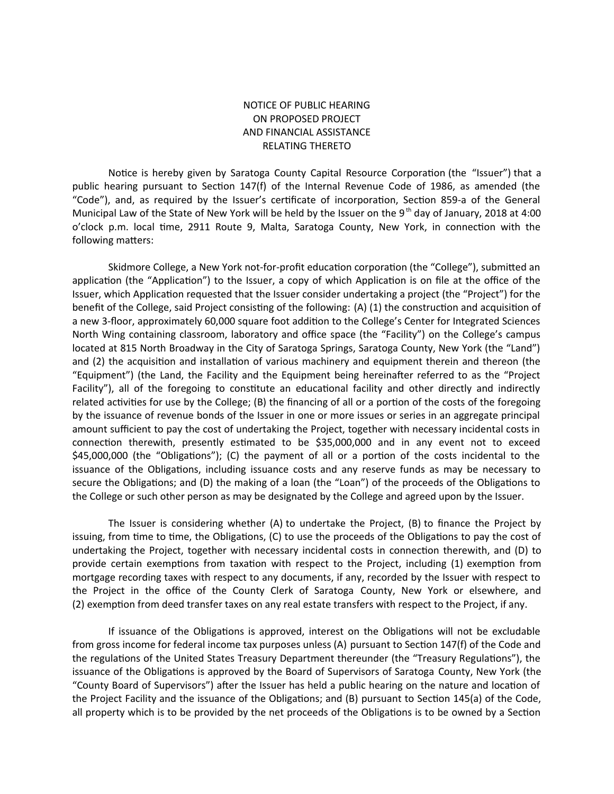## NOTICE OF PUBLIC HEARING ON PROPOSED PROJECT AND FINANCIAL ASSISTANCE RELATING THERETO

Notice is hereby given by Saratoga County Capital Resource Corporation (the "Issuer") that a public hearing pursuant to Section 147(f) of the Internal Revenue Code of 1986, as amended (the "Code"), and, as required by the Issuer's certificate of incorporation, Section 859-a of the General Municipal Law of the State of New York will be held by the Issuer on the 9<sup>th</sup> day of January, 2018 at 4:00 o'clock p.m. local time, 2911 Route 9, Malta, Saratoga County, New York, in connection with the following matters:

Skidmore College, a New York not-for-profit education corporation (the "College"), submitted an application (the "Application") to the Issuer, a copy of which Application is on file at the office of the Issuer, which Applicaton requested that the Issuer consider undertaking a project (the "Project") for the benefit of the College, said Project consisting of the following: (A) (1) the construction and acquisition of a new 3-foor, approximately 60,000 square foot additon to the College's Center for Integrated Sciences North Wing containing classroom, laboratory and office space (the "Facility") on the College's campus located at 815 North Broadway in the City of Saratoga Springs, Saratoga County, New York (the "Land") and (2) the acquisition and installation of various machinery and equipment therein and thereon (the "Equipment") (the Land, the Facility and the Equipment being hereinafter referred to as the "Project Facility"), all of the foregoing to constitute an educational facility and other directly and indirectly related activities for use by the College; (B) the financing of all or a portion of the costs of the foregoing by the issuance of revenue bonds of the Issuer in one or more issues or series in an aggregate principal amount sufficient to pay the cost of undertaking the Project, together with necessary incidental costs in connection therewith, presently estimated to be \$35,000,000 and in any event not to exceed \$45,000,000 (the "Obligatons"); (C) the payment of all or a porton of the costs incidental to the issuance of the Obligations, including issuance costs and any reserve funds as may be necessary to secure the Obligatons; and (D) the making of a loan (the "Loan") of the proceeds of the Obligatons to the College or such other person as may be designated by the College and agreed upon by the Issuer.

The Issuer is considering whether (A) to undertake the Project, (B) to fnance the Project by issuing, from time to time, the Obligations, (C) to use the proceeds of the Obligations to pay the cost of undertaking the Project, together with necessary incidental costs in connection therewith, and (D) to provide certain exemptions from taxation with respect to the Project, including (1) exemption from mortgage recording taxes with respect to any documents, if any, recorded by the Issuer with respect to the Project in the office of the County Clerk of Saratoga County, New York or elsewhere, and (2) exemption from deed transfer taxes on any real estate transfers with respect to the Project, if any.

If issuance of the Obligations is approved, interest on the Obligations will not be excludable from gross income for federal income tax purposes unless (A) pursuant to Secton 147(f) of the Code and the regulations of the United States Treasury Department thereunder (the "Treasury Regulations"), the issuance of the Obligatons is approved by the Board of Supervisors of Saratoga County, New York (the "County Board of Supervisors") afer the Issuer has held a public hearing on the nature and locaton of the Project Facility and the issuance of the Obligatons; and (B) pursuant to Secton 145(a) of the Code, all property which is to be provided by the net proceeds of the Obligations is to be owned by a Section